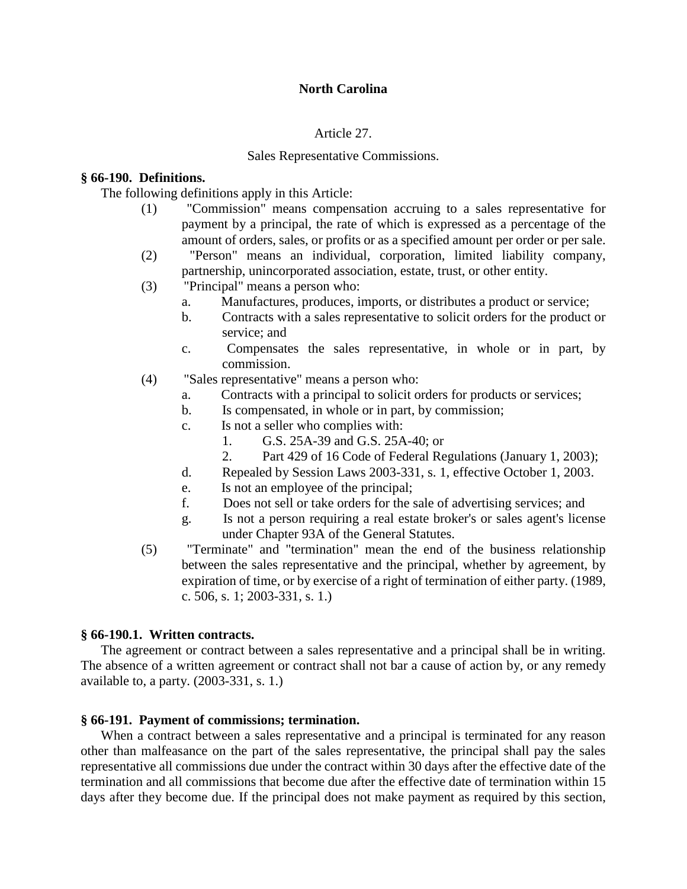## Article 27.

#### Sales Representative Commissions.

#### **§ 66-190. Definitions.**

The following definitions apply in this Article:

- (1) "Commission" means compensation accruing to a sales representative for payment by a principal, the rate of which is expressed as a percentage of the amount of orders, sales, or profits or as a specified amount per order or per sale.
- (2) "Person" means an individual, corporation, limited liability company, partnership, unincorporated association, estate, trust, or other entity.
- (3) "Principal" means a person who:
	- a. Manufactures, produces, imports, or distributes a product or service;
	- b. Contracts with a sales representative to solicit orders for the product or service; and
	- c. Compensates the sales representative, in whole or in part, by commission.
- (4) "Sales representative" means a person who:
	- a. Contracts with a principal to solicit orders for products or services;
	- b. Is compensated, in whole or in part, by commission;
	- c. Is not a seller who complies with:
		- 1. G.S. 25A-39 and G.S. 25A-40; or
		- 2. Part 429 of 16 Code of Federal Regulations (January 1, 2003);
	- d. Repealed by Session Laws 2003-331, s. 1, effective October 1, 2003.
	- e. Is not an employee of the principal;
	- f. Does not sell or take orders for the sale of advertising services; and
	- g. Is not a person requiring a real estate broker's or sales agent's license under Chapter 93A of the General Statutes.
- (5) "Terminate" and "termination" mean the end of the business relationship between the sales representative and the principal, whether by agreement, by expiration of time, or by exercise of a right of termination of either party. (1989, c. 506, s. 1; 2003-331, s. 1.)

### **§ 66-190.1. Written contracts.**

The agreement or contract between a sales representative and a principal shall be in writing. The absence of a written agreement or contract shall not bar a cause of action by, or any remedy available to, a party. (2003-331, s. 1.)

### **§ 66-191. Payment of commissions; termination.**

When a contract between a sales representative and a principal is terminated for any reason other than malfeasance on the part of the sales representative, the principal shall pay the sales representative all commissions due under the contract within 30 days after the effective date of the termination and all commissions that become due after the effective date of termination within 15 days after they become due. If the principal does not make payment as required by this section,